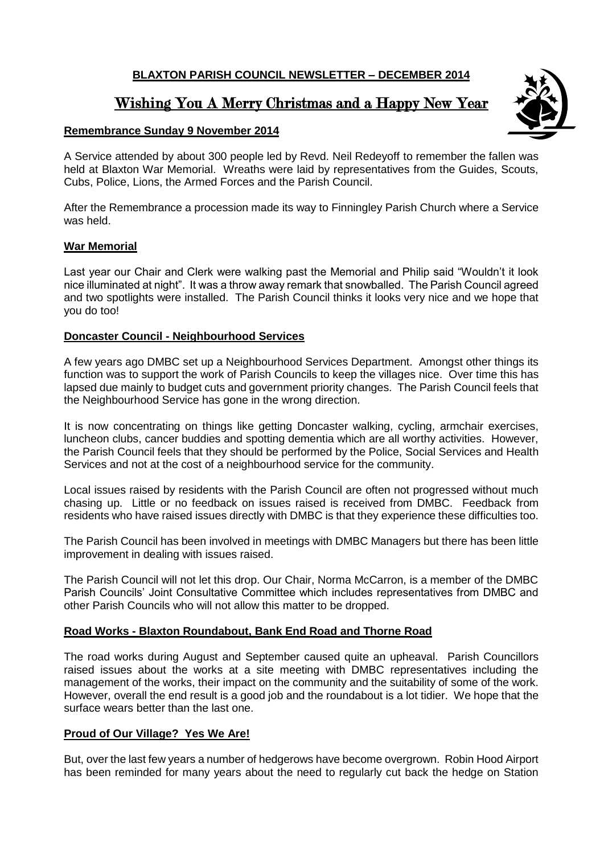# **BLAXTON PARISH COUNCIL NEWSLETTER – DECEMBER 2014**

# Wishing You A Merry Christmas and a Happy New Year

# **Remembrance Sunday 9 November 2014**

A Service attended by about 300 people led by Revd. Neil Redeyoff to remember the fallen was held at Blaxton War Memorial. Wreaths were laid by representatives from the Guides, Scouts, Cubs, Police, Lions, the Armed Forces and the Parish Council.

After the Remembrance a procession made its way to Finningley Parish Church where a Service was held.

#### **War Memorial**

Last year our Chair and Clerk were walking past the Memorial and Philip said "Wouldn't it look nice illuminated at night". It was a throw away remark that snowballed. The Parish Council agreed and two spotlights were installed. The Parish Council thinks it looks very nice and we hope that you do too!

#### **Doncaster Council - Neighbourhood Services**

A few years ago DMBC set up a Neighbourhood Services Department. Amongst other things its function was to support the work of Parish Councils to keep the villages nice. Over time this has lapsed due mainly to budget cuts and government priority changes. The Parish Council feels that the Neighbourhood Service has gone in the wrong direction.

It is now concentrating on things like getting Doncaster walking, cycling, armchair exercises, luncheon clubs, cancer buddies and spotting dementia which are all worthy activities. However, the Parish Council feels that they should be performed by the Police, Social Services and Health Services and not at the cost of a neighbourhood service for the community.

Local issues raised by residents with the Parish Council are often not progressed without much chasing up. Little or no feedback on issues raised is received from DMBC. Feedback from residents who have raised issues directly with DMBC is that they experience these difficulties too.

The Parish Council has been involved in meetings with DMBC Managers but there has been little improvement in dealing with issues raised.

The Parish Council will not let this drop. Our Chair, Norma McCarron, is a member of the DMBC Parish Councils' Joint Consultative Committee which includes representatives from DMBC and other Parish Councils who will not allow this matter to be dropped.

# **Road Works - Blaxton Roundabout, Bank End Road and Thorne Road**

The road works during August and September caused quite an upheaval. Parish Councillors raised issues about the works at a site meeting with DMBC representatives including the management of the works, their impact on the community and the suitability of some of the work. However, overall the end result is a good job and the roundabout is a lot tidier. We hope that the surface wears better than the last one.

# **Proud of Our Village? Yes We Are!**

But, over the last few years a number of hedgerows have become overgrown. Robin Hood Airport has been reminded for many years about the need to regularly cut back the hedge on Station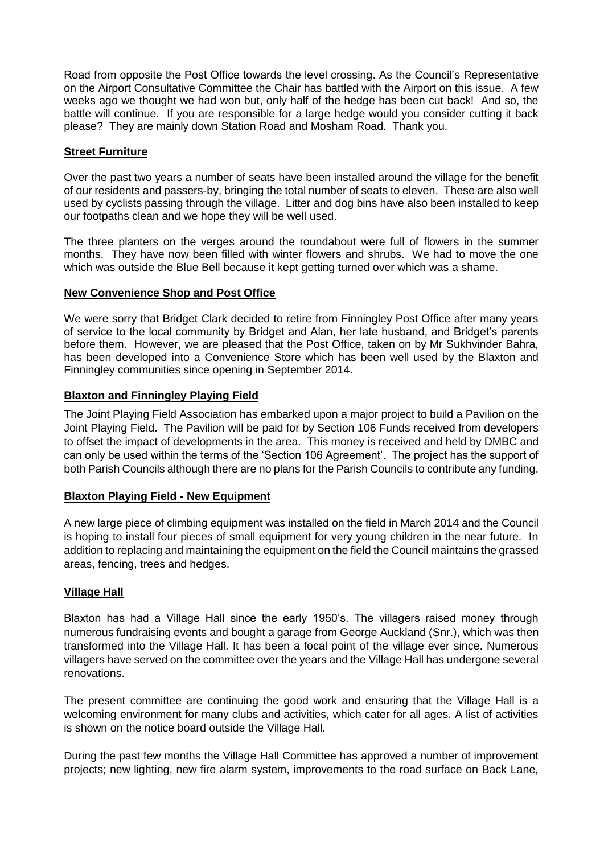Road from opposite the Post Office towards the level crossing. As the Council's Representative on the Airport Consultative Committee the Chair has battled with the Airport on this issue. A few weeks ago we thought we had won but, only half of the hedge has been cut back! And so, the battle will continue. If you are responsible for a large hedge would you consider cutting it back please? They are mainly down Station Road and Mosham Road. Thank you.

#### **Street Furniture**

Over the past two years a number of seats have been installed around the village for the benefit of our residents and passers-by, bringing the total number of seats to eleven. These are also well used by cyclists passing through the village. Litter and dog bins have also been installed to keep our footpaths clean and we hope they will be well used.

The three planters on the verges around the roundabout were full of flowers in the summer months. They have now been filled with winter flowers and shrubs. We had to move the one which was outside the Blue Bell because it kept getting turned over which was a shame.

#### **New Convenience Shop and Post Office**

We were sorry that Bridget Clark decided to retire from Finningley Post Office after many years of service to the local community by Bridget and Alan, her late husband, and Bridget's parents before them. However, we are pleased that the Post Office, taken on by Mr Sukhvinder Bahra, has been developed into a Convenience Store which has been well used by the Blaxton and Finningley communities since opening in September 2014.

#### **Blaxton and Finningley Playing Field**

The Joint Playing Field Association has embarked upon a major project to build a Pavilion on the Joint Playing Field. The Pavilion will be paid for by Section 106 Funds received from developers to offset the impact of developments in the area. This money is received and held by DMBC and can only be used within the terms of the 'Section 106 Agreement'. The project has the support of both Parish Councils although there are no plans for the Parish Councils to contribute any funding.

#### **Blaxton Playing Field - New Equipment**

A new large piece of climbing equipment was installed on the field in March 2014 and the Council is hoping to install four pieces of small equipment for very young children in the near future. In addition to replacing and maintaining the equipment on the field the Council maintains the grassed areas, fencing, trees and hedges.

#### **Village Hall**

Blaxton has had a Village Hall since the early 1950's. The villagers raised money through numerous fundraising events and bought a garage from George Auckland (Snr.), which was then transformed into the Village Hall. It has been a focal point of the village ever since. Numerous villagers have served on the committee over the years and the Village Hall has undergone several renovations.

The present committee are continuing the good work and ensuring that the Village Hall is a welcoming environment for many clubs and activities, which cater for all ages. A list of activities is shown on the notice board outside the Village Hall.

During the past few months the Village Hall Committee has approved a number of improvement projects; new lighting, new fire alarm system, improvements to the road surface on Back Lane,